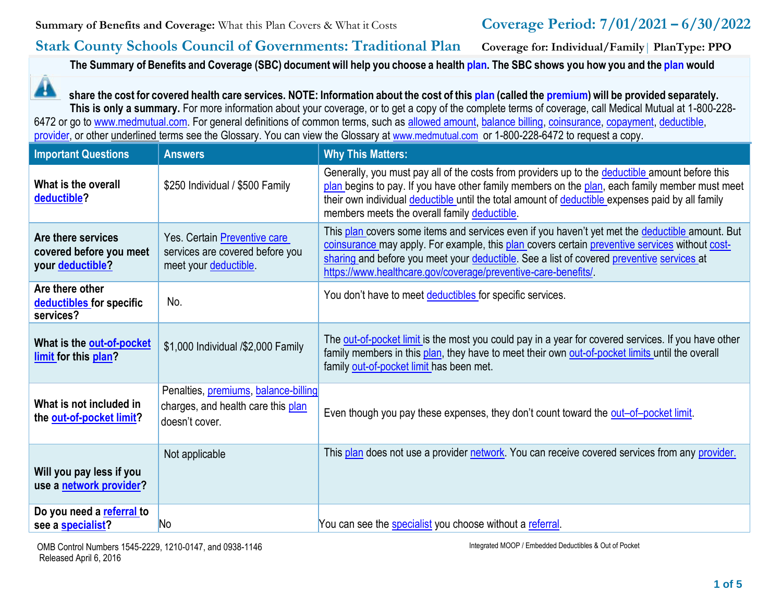## **Stark County Schools Council of Governments: Traditional Plan Coverage for: Individual/Family**| **PlanType: PPO**

The Summary of Benefits and Coverage (SBC) document will help you choose a health [plan.](https://www.healthcare.gov/sbc-glossary/#plan) The SBC shows you how you and the [plan](https://www.healthcare.gov/sbc-glossary/#plan) would

▲ share the cost for covered health care services. NOTE: Information about the cost of this [plan](https://www.healthcare.gov/sbc-glossary/#plan) (called the [premium\)](https://www.healthcare.gov/sbc-glossary/#premium) will be provided separately. **This is only a summary.** For more information about your coverage, or to get a copy of the complete terms of coverage, call Medical Mutual at 1-800-228 6472 or go to [www.medmutual.com. F](http://www.medmutual.com/)or general definitions of common terms, such as [allowed amount,](https://www.healthcare.gov/sbc-glossary/#allowed-amount) [balance billing,](https://www.healthcare.gov/sbc-glossary/#balance-billing) [coinsurance,](https://www.healthcare.gov/sbc-glossary/#coinsurance) [copayment,](https://www.healthcare.gov/sbc-glossary/#copayment) [deductible,](https://www.healthcare.gov/sbc-glossary/#deductible) [provider, o](https://www.healthcare.gov/sbc-glossary/#provider)r other underlined terms see the Glossary. You can view the Glossary at [www.medmutual.com](http://www.medmutual.com/) or 1-800-228-6472 to request a copy.

| <b>Important Questions</b>                                        | <b>Answers</b>                                                                               | <b>Why This Matters:</b>                                                                                                                                                                                                                                                                                                                                        |
|-------------------------------------------------------------------|----------------------------------------------------------------------------------------------|-----------------------------------------------------------------------------------------------------------------------------------------------------------------------------------------------------------------------------------------------------------------------------------------------------------------------------------------------------------------|
| What is the overall<br>deductible?                                | \$250 Individual / \$500 Family                                                              | Generally, you must pay all of the costs from providers up to the deductible amount before this<br>plan begins to pay. If you have other family members on the plan, each family member must meet<br>their own individual deductible until the total amount of deductible expenses paid by all family<br>members meets the overall family deductible.           |
| Are there services<br>covered before you meet<br>your deductible? | Yes. Certain Preventive care<br>services are covered before you<br>meet your deductible      | This plan covers some items and services even if you haven't yet met the deductible amount. But<br>coinsurance may apply. For example, this plan covers certain preventive services without cost-<br>sharing and before you meet your deductible. See a list of covered preventive services at<br>https://www.healthcare.gov/coverage/preventive-care-benefits/ |
| Are there other<br>deductibles for specific<br>services?          | No.                                                                                          | You don't have to meet deductibles for specific services.                                                                                                                                                                                                                                                                                                       |
| What is the out-of-pocket<br>limit for this plan?                 | \$1,000 Individual /\$2,000 Family                                                           | The out-of-pocket limit is the most you could pay in a year for covered services. If you have other<br>family members in this plan, they have to meet their own out-of-pocket limits until the overall<br>family out-of-pocket limit has been met.                                                                                                              |
| What is not included in<br>the out-of-pocket limit?               | Penalties, premiums, balance-billing<br>charges, and health care this plan<br>doesn't cover. | Even though you pay these expenses, they don't count toward the out-of-pocket limit.                                                                                                                                                                                                                                                                            |
| Will you pay less if you<br>use a network provider?               | Not applicable                                                                               | This plan does not use a provider network. You can receive covered services from any provider.                                                                                                                                                                                                                                                                  |
| Do you need a referral to<br>see a specialist?                    | N <sub>o</sub>                                                                               | You can see the specialist you choose without a referral.                                                                                                                                                                                                                                                                                                       |

Integrated MOOP / Embedded Deductibles & Out of Pocket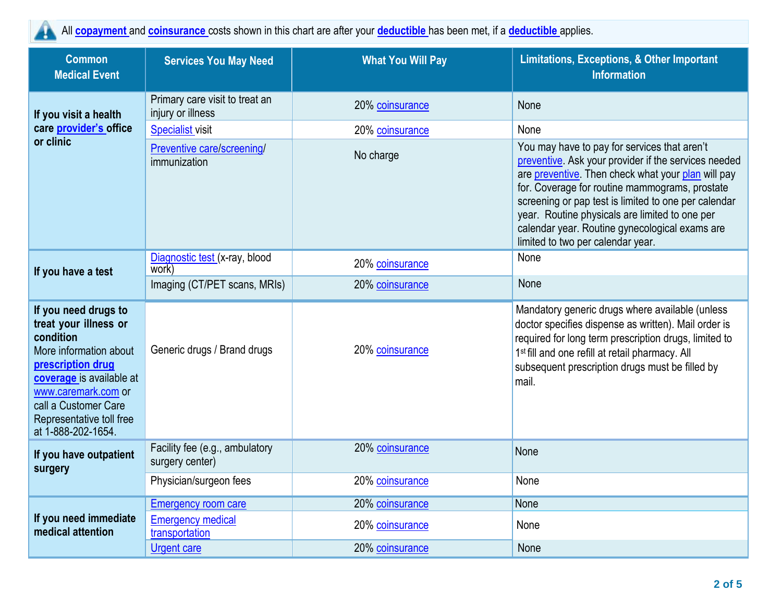All **[copayment](https://www.healthcare.gov/sbc-glossary/#copayment)** and **[coinsurance](https://www.healthcare.gov/sbc-glossary/#coinsurance)** costs shown in this chart are after your **[deductible](https://www.healthcare.gov/sbc-glossary/#deductible)** has been met, if a **[deductible](https://www.healthcare.gov/sbc-glossary/#deductible)** applies.

| <b>Common</b><br><b>Medical Event</b>                                                                                                                                                                                                  | <b>Services You May Need</b>                        | <b>What You Will Pay</b> | <b>Limitations, Exceptions, &amp; Other Important</b><br><b>Information</b>                                                                                                                                                                                                                                                                                                                                   |
|----------------------------------------------------------------------------------------------------------------------------------------------------------------------------------------------------------------------------------------|-----------------------------------------------------|--------------------------|---------------------------------------------------------------------------------------------------------------------------------------------------------------------------------------------------------------------------------------------------------------------------------------------------------------------------------------------------------------------------------------------------------------|
| If you visit a health                                                                                                                                                                                                                  | Primary care visit to treat an<br>injury or illness | 20% coinsurance          | None                                                                                                                                                                                                                                                                                                                                                                                                          |
| care provider's office                                                                                                                                                                                                                 | <b>Specialist visit</b>                             | 20% coinsurance          | None                                                                                                                                                                                                                                                                                                                                                                                                          |
| or clinic                                                                                                                                                                                                                              | Preventive care/screening/<br>immunization          | No charge                | You may have to pay for services that aren't<br>preventive. Ask your provider if the services needed<br>are preventive. Then check what your plan will pay<br>for. Coverage for routine mammograms, prostate<br>screening or pap test is limited to one per calendar<br>year. Routine physicals are limited to one per<br>calendar year. Routine gynecological exams are<br>limited to two per calendar year. |
| If you have a test                                                                                                                                                                                                                     | Diagnostic test (x-ray, blood<br>work)              | 20% coinsurance          | None                                                                                                                                                                                                                                                                                                                                                                                                          |
|                                                                                                                                                                                                                                        | Imaging (CT/PET scans, MRIs)                        | 20% coinsurance          | None                                                                                                                                                                                                                                                                                                                                                                                                          |
| If you need drugs to<br>treat your illness or<br>condition<br>More information about<br>prescription drug<br>coverage is available at<br>www.caremark.com or<br>call a Customer Care<br>Representative toll free<br>at 1-888-202-1654. | Generic drugs / Brand drugs                         | 20% coinsurance          | Mandatory generic drugs where available (unless<br>doctor specifies dispense as written). Mail order is<br>required for long term prescription drugs, limited to<br>1 <sup>st</sup> fill and one refill at retail pharmacy. All<br>subsequent prescription drugs must be filled by<br>mail.                                                                                                                   |
| If you have outpatient<br>surgery                                                                                                                                                                                                      | Facility fee (e.g., ambulatory<br>surgery center)   | 20% coinsurance          | None                                                                                                                                                                                                                                                                                                                                                                                                          |
|                                                                                                                                                                                                                                        | Physician/surgeon fees                              | 20% coinsurance          | None                                                                                                                                                                                                                                                                                                                                                                                                          |
|                                                                                                                                                                                                                                        | <b>Emergency room care</b>                          | 20% coinsurance          | None                                                                                                                                                                                                                                                                                                                                                                                                          |
| If you need immediate<br>medical attention                                                                                                                                                                                             | <b>Emergency medical</b><br>transportation          | 20% coinsurance          | None                                                                                                                                                                                                                                                                                                                                                                                                          |
|                                                                                                                                                                                                                                        | <b>Urgent care</b>                                  | 20% coinsurance          | None                                                                                                                                                                                                                                                                                                                                                                                                          |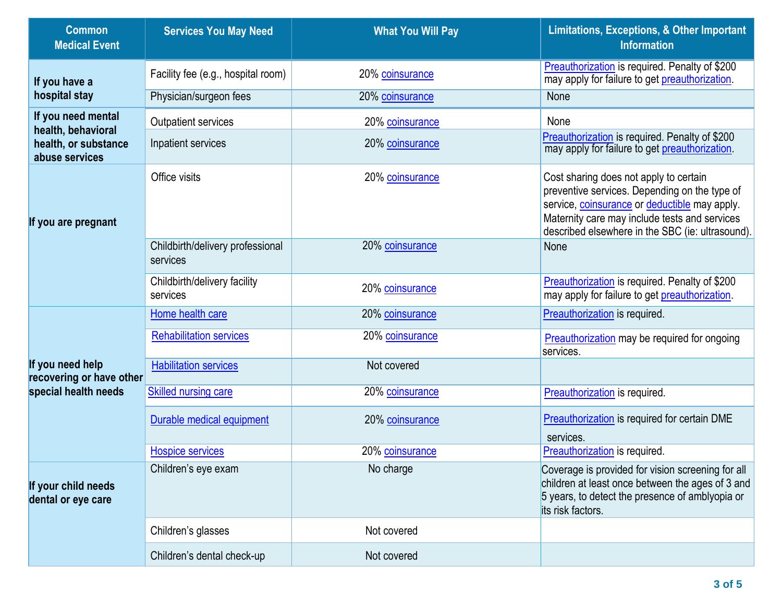| <b>Common</b><br><b>Medical Event</b>        | <b>Services You May Need</b>                 | <b>What You Will Pay</b> | <b>Limitations, Exceptions, &amp; Other Important</b><br><b>Information</b>                                                                                                                                                                   |
|----------------------------------------------|----------------------------------------------|--------------------------|-----------------------------------------------------------------------------------------------------------------------------------------------------------------------------------------------------------------------------------------------|
| If you have a                                | Facility fee (e.g., hospital room)           | 20% coinsurance          | Preauthorization is required. Penalty of \$200<br>may apply for failure to get preauthorization.                                                                                                                                              |
| hospital stay                                | Physician/surgeon fees                       | 20% coinsurance          | None                                                                                                                                                                                                                                          |
| If you need mental<br>health, behavioral     | <b>Outpatient services</b>                   | 20% coinsurance          | None                                                                                                                                                                                                                                          |
| health, or substance<br>abuse services       | Inpatient services                           | 20% coinsurance          | Preauthorization is required. Penalty of \$200<br>may apply for failure to get preauthorization.                                                                                                                                              |
| If you are pregnant                          | Office visits                                | 20% coinsurance          | Cost sharing does not apply to certain<br>preventive services. Depending on the type of<br>service, coinsurance or deductible may apply.<br>Maternity care may include tests and services<br>described elsewhere in the SBC (ie: ultrasound). |
|                                              | Childbirth/delivery professional<br>services | 20% coinsurance          | None                                                                                                                                                                                                                                          |
|                                              | Childbirth/delivery facility<br>services     | 20% coinsurance          | Preauthorization is required. Penalty of \$200<br>may apply for failure to get preauthorization.                                                                                                                                              |
|                                              | Home health care                             | 20% coinsurance          | Preauthorization is required.                                                                                                                                                                                                                 |
|                                              | <b>Rehabilitation services</b>               | 20% coinsurance          | <b>Preauthorization</b> may be required for ongoing<br>services.                                                                                                                                                                              |
| If you need help<br>recovering or have other | <b>Habilitation services</b>                 | Not covered              |                                                                                                                                                                                                                                               |
| special health needs                         | <b>Skilled nursing care</b>                  | 20% coinsurance          | Preauthorization is required.                                                                                                                                                                                                                 |
|                                              | Durable medical equipment                    | 20% coinsurance          | Preauthorization is required for certain DME<br>services.                                                                                                                                                                                     |
|                                              | <b>Hospice services</b>                      | 20% coinsurance          | Preauthorization is required.                                                                                                                                                                                                                 |
| If your child needs<br>dental or eye care    | Children's eye exam                          | No charge                | Coverage is provided for vision screening for all<br>children at least once between the ages of 3 and<br>5 years, to detect the presence of amblyopia or<br>its risk factors.                                                                 |
|                                              | Children's glasses                           | Not covered              |                                                                                                                                                                                                                                               |
|                                              | Children's dental check-up                   | Not covered              |                                                                                                                                                                                                                                               |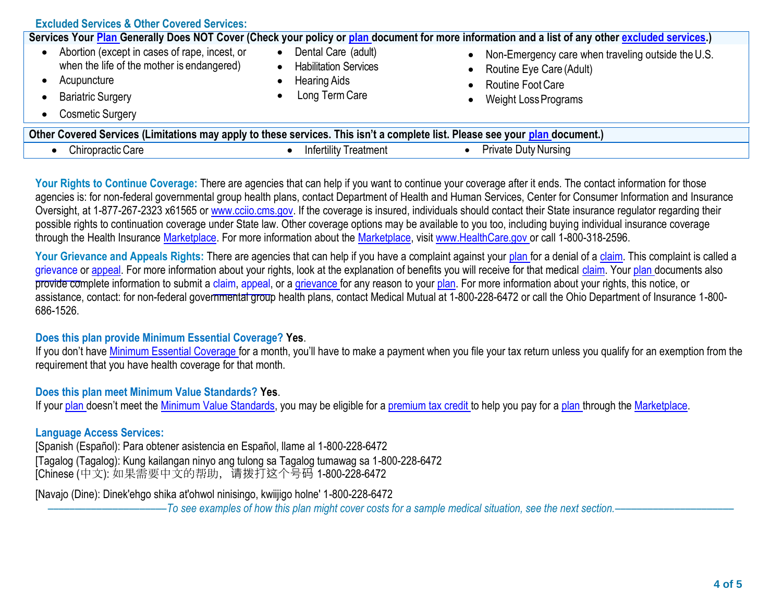| <b>Excluded Services &amp; Other Covered Services:</b>                                                                                                                         |                                                                                              |                                                                                                                                                                     |  |  |
|--------------------------------------------------------------------------------------------------------------------------------------------------------------------------------|----------------------------------------------------------------------------------------------|---------------------------------------------------------------------------------------------------------------------------------------------------------------------|--|--|
| Services Your Plan Generally Does NOT Cover (Check your policy or plan document for more information and a list of any other excluded services.)                               |                                                                                              |                                                                                                                                                                     |  |  |
| Abortion (except in cases of rape, incest, or<br>when the life of the mother is endangered)<br>Acupuncture<br><b>Bariatric Surgery</b><br><b>Cosmetic Surgery</b><br>$\bullet$ | Dental Care (adult)<br><b>Habilitation Services</b><br><b>Hearing Aids</b><br>Long Term Care | Non-Emergency care when traveling outside the U.S.<br>$\bullet$<br>Routine Eye Care (Adult)<br>$\bullet$<br><b>Routine Foot Care</b><br><b>Weight Loss Programs</b> |  |  |
| Other Covered Services (Limitations may apply to these services. This isn't a complete list. Please see your plan document.)                                                   |                                                                                              |                                                                                                                                                                     |  |  |
| Chiropractic Care<br>$\bullet$                                                                                                                                                 | <b>Infertility Treatment</b>                                                                 | <b>Private Duty Nursing</b>                                                                                                                                         |  |  |

Your Rights to Continue Coverage: There are agencies that can help if you want to continue your coverage after it ends. The contact information for those agencies is: for non-federal governmental group health plans, contact Department of Health and Human Services, Center for Consumer Information and Insurance Oversight, at 1-877-267-2323 x61565 o[r www.cciio.cms.gov. I](http://www.cciio.cms.gov/)f the coverage is insured, individuals should contact their State insurance regulator regarding their possible rights to continuation coverage under State law. Other coverage options may be available to you too, including buying individual insurance coverage through the Health Insurance [Marketplace. F](https://www.healthcare.gov/sbc-glossary/#marketplace)or more information about the [Marketplace, v](https://www.healthcare.gov/sbc-glossary/#marketplace)isit [www.HealthCare.gov o](http://www.healthcare.gov/)r call 1-800-318-2596.

Your Grievance and Appeals Rights: There are agencies that can help if you have a complaint against your plan for a denial of a claim. This complaint is called a grievance or appeal. For more information about your rights, look at the explanation of benefits you will receive for that medical claim. Your plan documents also provide complete information to submit a claim, appeal, or a grievance for any reason to your plan. For more information about your rights, this notice, or assistance, contact: for non-federal governmental group health plans, contact Medical Mutual at 1-800-228-6472 or call the Ohio Department of Insurance 1-800- 686-1526.

#### **Does this plan provide Minimum Essential Coverage? Yes**.

If you don't have [Minimum Essential Coverage f](https://www.healthcare.gov/sbc-glossary/#minimum-essential-coverage)or a month, you'll have to make a payment when you file your tax return unless you qualify for an exemption from the requirement that you have health coverage for that month.

#### **Does this plan meet Minimum Value Standards? Yes**.

If your [plan](https://www.healthcare.gov/sbc-glossary/#plan) doesn't meet the [Minimum Value Standards, y](https://www.healthcare.gov/sbc-glossary/#minimum-value-standard)ou may be eligible for a [premium tax credit t](https://www.healthcare.gov/sbc-glossary/#premium-tax-credits)o help you pay for a [plan th](https://www.healthcare.gov/sbc-glossary/#plan)rough the [Marketplace.](https://www.healthcare.gov/sbc-glossary/#marketplace)

#### **Language Access Services:**

[Spanish (Español): Para obtener asistencia en Español, llame al 1-800-228-6472 [Tagalog (Tagalog): Kung kailangan ninyo ang tulong sa Tagalog tumawag sa 1-800-228-6472 [Chinese (中文): 如果需要中文的帮助,请拨打这个号码 1-800-228-6472

[Navajo (Dine): Dinek'ehgo shika at'ohwol ninisingo, kwiijigo holne' 1-800-228-6472

––––––––––––––––––––––*To see examples of how this plan might cover costs for a sample medical situation, see the next section.–––––––––––*–––––––––––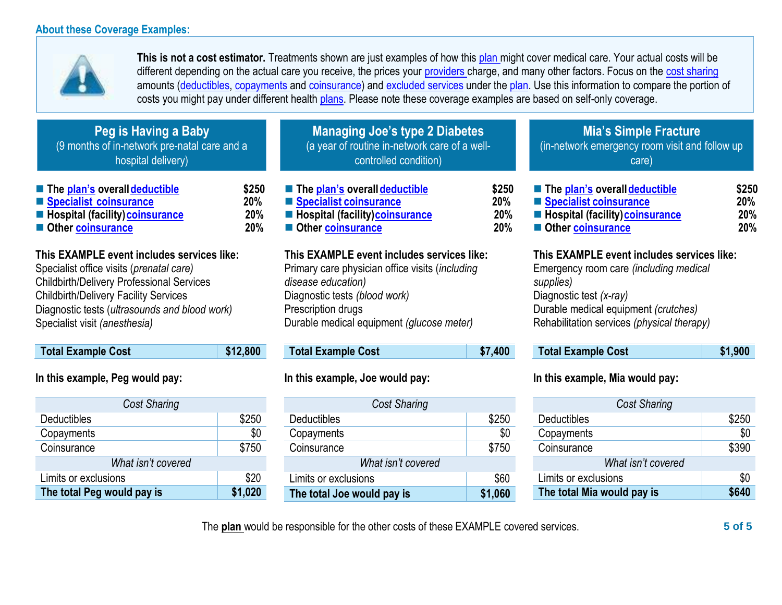#### **About these Coverage Examples:**



**This is not a cost estimator.** Treatments shown are just examples of how this [plan m](https://www.healthcare.gov/sbc-glossary/#plan)ight cover medical care. Your actual costs will be different depending on the actual care you receive, the prices your [providers c](https://www.healthcare.gov/sbc-glossary/#provider)harge, and many other factors. Focus on the [cost sharing](https://www.healthcare.gov/sbc-glossary/#cost-sharing) amounts [\(deductibles,](https://www.healthcare.gov/sbc-glossary/#deductible) [copayments a](https://www.healthcare.gov/sbc-glossary/#copayment)nd [coinsurance\)](https://www.healthcare.gov/sbc-glossary/#coinsurance) and [excluded services](https://www.healthcare.gov/sbc-glossary/#excluded-services) under the [plan. U](https://www.healthcare.gov/sbc-glossary/#plan)se this information to compare the portion of costs you might pay under different health [plans. P](https://www.healthcare.gov/sbc-glossary/#plan)lease note these coverage examples are based on self-only coverage.

| Peg is Having a Baby<br>(9 months of in-network pre-natal care and a<br>hospital delivery)                                                                                                                                                                                   |                            | <b>Managing Joe's type 2 Diabetes</b><br>(a year of routine in-network care of a well-<br>controlled condition)                                                                                                         |                                   | <b>Mia's Simple Fracture</b><br>(in-network emergency room visit and follow up<br>care)                                                                                                                            |                            |
|------------------------------------------------------------------------------------------------------------------------------------------------------------------------------------------------------------------------------------------------------------------------------|----------------------------|-------------------------------------------------------------------------------------------------------------------------------------------------------------------------------------------------------------------------|-----------------------------------|--------------------------------------------------------------------------------------------------------------------------------------------------------------------------------------------------------------------|----------------------------|
| ■ The plan's overall deductible<br>Specialist coinsurance<br>■ Hospital (facility) coinsurance<br>Other coinsurance                                                                                                                                                          | \$250<br>20%<br>20%<br>20% | ■ The plan's overall deductible<br>Specialist coinsurance<br><b>E</b> Hospital (facility) coinsurance<br>Other coinsurance                                                                                              | \$250<br>20%<br>20%<br><b>20%</b> | ■ The plan's overall deductible<br>Specialist coinsurance<br>■ Hospital (facility) coinsurance<br>Other coinsurance                                                                                                | \$250<br>20%<br>20%<br>20% |
| This EXAMPLE event includes services like:<br>Specialist office visits (prenatal care)<br><b>Childbirth/Delivery Professional Services</b><br><b>Childbirth/Delivery Facility Services</b><br>Diagnostic tests (ultrasounds and blood work)<br>Specialist visit (anesthesia) |                            | This EXAMPLE event includes services like:<br>Primary care physician office visits (including<br>disease education)<br>Diagnostic tests (blood work)<br>Prescription drugs<br>Durable medical equipment (glucose meter) |                                   | This EXAMPLE event includes services like:<br>Emergency room care (including medical<br>supplies)<br>Diagnostic test (x-ray)<br>Durable medical equipment (crutches)<br>Rehabilitation services (physical therapy) |                            |
| <b>Total Example Cost</b>                                                                                                                                                                                                                                                    | \$12,800                   | <b>Total Example Cost</b>                                                                                                                                                                                               | \$7,400                           | <b>Total Example Cost</b>                                                                                                                                                                                          | \$1,900                    |
| In this example, Peg would pay:                                                                                                                                                                                                                                              |                            | In this example, Joe would pay:                                                                                                                                                                                         |                                   | In this example, Mia would pay:                                                                                                                                                                                    |                            |

| <b>Cost Sharing</b>        |         |  |  |
|----------------------------|---------|--|--|
| Deductibles                | \$250   |  |  |
| Copayments                 | \$0     |  |  |
| Coinsurance                | \$750   |  |  |
| What isn't covered         |         |  |  |
| Limits or exclusions       | \$20    |  |  |
| The total Peg would pay is | \$1,020 |  |  |

| <b>Cost Sharing</b>        |         |  |  |
|----------------------------|---------|--|--|
| <b>Deductibles</b>         | \$250   |  |  |
| Copayments                 | \$0     |  |  |
| Coinsurance                | \$750   |  |  |
| What isn't covered         |         |  |  |
| Limits or exclusions       | \$60    |  |  |
| The total Joe would pay is | \$1,060 |  |  |

### *Cost Sharing* Deductibles \$250<br>Copayments \$0 Copayments Coinsurance \$390 *What isn't covered* Limits or exclusions  $\sim$  \$0 **The total Mia would pay is \$640**

The **plan** would be responsible for the other costs of these EXAMPLE covered services. **5 of 5**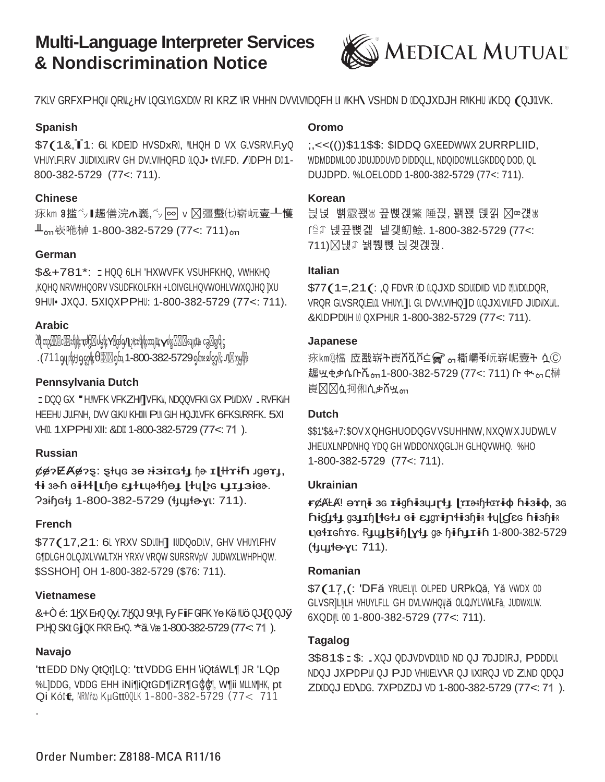# **Multi-Language Interpreter Services & Nondiscrimination Notice**



7KLV GRFXPHQW QRIIL¿HV LQGLYLGXDIV RI KRZ WR VHHN DVVLVWDQFH LI WKH\ VSHDN D IDQJXDJH RWKHU WKDQ (QJILVK.

#### **Spanish**

\$7(1&, i1: 6L KDEID HVSDxRI, WLHQH D VX GLVSRVLFLyQ VHUYLFLRV JUDWXLWRV GH DVLVWHQFLD OLQJ•tVWLFD. /ODPH DO1-800-382-5729 (77<: 711).

#### **Chinese**

㽷㎞ Ⱁ㨫㌷∎䞷僐浣₼㠖,㌷♾ⅴ⏜彊䘁㈦崭岏㚃┸㦜 ╨ᇭ嵚咃榊 1-800-382-5729 (77<: 711)ᇭ

#### **German**

\$&+781\*: : HQQ 6LH 'HXWVFK VSUHFKHQ, VWHKHQ ,KQHQ NRVWHQORV VSUDFKOLFKH +LOIVGLHQVWOHLVWXQJHQ ]XU 9HUI•JXQJ. 5XIQXPPHU: 1-800-382-5729 (77<: 711).

#### **Arabic**

ᦺᦿᦎᦳҫ⏜⏜⏜ᥴ⏜⏜ᦰᧀᦿҫҭᦊᦫ⏜ᦔᧄᦿҫҮ⏜ᧃᦊᦇӅᥨᦳҢᥴᦰᧀᦿҫᦎᦻҴҫүᦊᦄ⏜⏜⏜ᧈᦻҫҴҩ <sup>ᥴ</sup>ᦧ<sup>⏜</sup>ᦄᧀᧃ . (711ရပျળીဗျှရတ္လါးေတြေ⊠ြောက် 1-800-382-5729ရွ္ပ်ားစပတ္လုိး ျပည္သြားဖြ

#### **Pennsylvania Dutch**

: DQQ GX "HIIVFK VFKZHI/TVFKII, NDQQVFKII GX PIIIDXV ... RVFKIIH HEEHU JULFNH, DVV GLKU KHOIW PLW GLH HQJOLVFK 6FKSURRFK, 5XI VHOL 1XPPHU XII: &DO 1-800-382-5729 (77<: 71).

#### **Russian**

¢¢?EA¢?S: Styc 30 st3tIct1 ha I Hrih Jger1, ɬɨ ɜɚɦ ɞɨɫɬɭɩɧɵ ɛɟɫɩɥɚɬɧɵɟ ɭɫɥɭɝɢ ɩɟɪɟɜɨɞɚ.  $73$ ih G<sup>4</sup> 1-800-382-5729 ( *H<sub>44</sub>* + 211).

#### **French**

\$77(17,21: 6L YRXV SDUUH] IUDQoDLV, GHV VHUYLFHV G¶DLGH OLQJXLVWLTXH YRXV VRQW SURSRVpV JUDWXLWHPHQW. \$SSHOH] OH 1-800-382-5729 (\$76: 711).

#### **Vietnamese**

&+Ò é: 1ӃХ ЕнQ QyL 7ЦSQJ 9LYII, Fy FilF GIFK Yө Kӛ Illö QJ{Q QJӳ PHQ SKt GjQK FKR EнQ. \*ăl Væ 1-800-382-5729 (77<71).

#### **Navajo**

.

'ttEDD DNy QtQt]LQ: 'ttVDDG EHH \iQtáWL¶ JR 'LQp %L]DDG, VDDG EHH iNi¶iQtGD¶iZR¶GĠĠ, W¶ii MLLN¶HK, pt Qi Kólt, NRMñw KuGtt00LK 1-800-382-5729 (77< 711

#### **Oromo**

;,<<(())\$11\$\$: \$IDDQ GXEEDWWX 2URRPLIID, WDMDDMLOD JDUJDDUVD DIDDQLL, NDQIDOWLLGKDDQ DOD, QL DUJDPD. %LOELODD 1-800-382-5729 (77<: 711).

#### **Korean**

늱넍 뼑霢꽩₩끞뼍겑鱉 陲끥,꽭꽩 덵낅 ⊠∞걙₩ ꓩꊁꈑ 넩끞뼍겙 넽걪鱽鲙. 1-800-382-5729 (77<: 711)  $\boxtimes$ 냱ᡗ 놹쀉뼩 늱겢겑꿙.

#### **Italian**

 $$77(1=.21(:.0 FDVR ID UQUXD SDUDWD VLD QUNDUDOR,$ VRQR GLVSRQLELIL VHUYLTL GL DVVLVIIHQTD ILQJXLVIILFD JUDIIXLIIL. &KLDPDUH II QXPHUR 1-800-382-5729 (77<: 711).

#### **Japanese**

脉kmℚ檔 应戳崭ት崀ሸቯቮ≌ ? ๑ 撕巑ቅ岏崭岷壺ት ሷⓒ 趣ሧቂቃሴቡሼ<sub>ჿπ</sub>1-800-382-5729 (77<: 711) ቡ ቊ<sub>ჿႨ</sub>ር榊 崀风风ሷ抲俰ሲቃሽሧᇭ

#### **Dutch**

\$\$1'\$&+7:\$OVXQHGHUODQGVVSUHHNW,NXQWXJUDWLV JHEUXLNPDNHQ YDQ GH WDDONXQGLJH GLHQVWHQ. %HO 1-800-382-5729 (77<: 711).

#### **Ukrainian**

r¢ÃŁA! ə $x\eta$ i as Iighiay. [Taxhtariq hisiq, as ħŧġ↓↓↓ ga↓tɦ| tetu ei ε↓grintiaḥiR tulgEe hiaḥiR **υ**βείτερτε. Ruutsin[yt] ga hin11in 1-800-382-5729 (**t<sub>Hulto</sub>**yu: 711).

#### **Romanian**

\$7(17,(: 'DFă YRUELȚI OLPED URPkQă, Yă VWDX 0D GLVSR]LWLH VHUYLFLL GH DVLVWHQWÄ OLQJYLVWLFă, JUDWXLW. 6XQD I 00 1-800-382-5729 (77<: 711).

#### **Tagalog**

3\$81\$: .XQJ QDJVDVDOLWD ND QJ 7DJDORJ, PDDDUL NDQJ JXPDPLW QJ PJD VHUELVAR QJ WXIRQJ VD ZLND QDQJ ZDIDQJ ED\DG. 7XPDZDJ VD 1-800-382-5729 (77<: 71).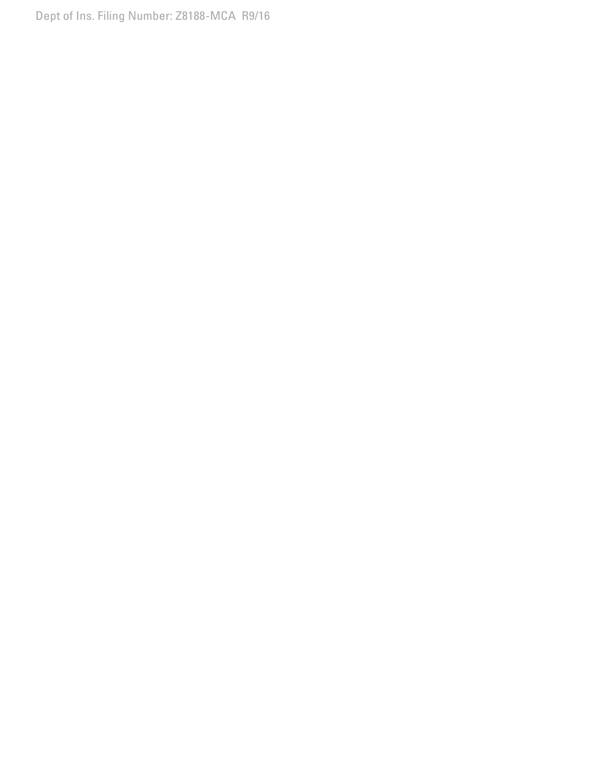Dept of Ins. Filing Number: Z8188-MCA R9/16